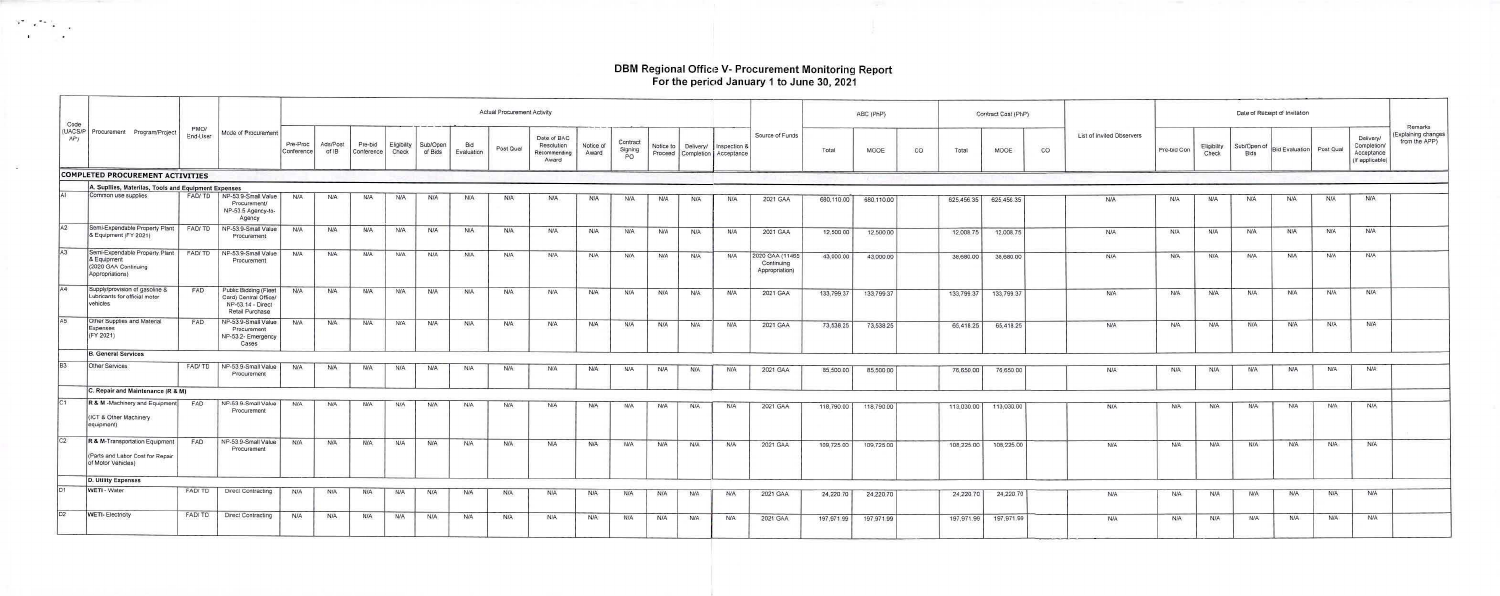# DBM Regional Office V- Procurement Monitoring Report<br>For the period January 1 to June 30, 2021

 $\begin{array}{ccccc} \mathbb{R}^{\infty} & \mathbb{R}^{\infty} & \mathbb{R}^{\infty} \\ & \mathbb{R} & & \mathbb{R}^{\infty} \end{array}$ 

이 없이

| Code |                                                                                          |                  |                                                                                        |                        |                   |                             |             |                     |                   | <b>Actual Procurement Activity</b> |                                                    |                    |                           |            |                     |                                                 |                                                 |            | ABC (PhP)  |           |            | Contract Cost (PhP)   |    |                           | Date of Receipt of Invitation |                      |                            |                          |            |                                                           |                                                |
|------|------------------------------------------------------------------------------------------|------------------|----------------------------------------------------------------------------------------|------------------------|-------------------|-----------------------------|-------------|---------------------|-------------------|------------------------------------|----------------------------------------------------|--------------------|---------------------------|------------|---------------------|-------------------------------------------------|-------------------------------------------------|------------|------------|-----------|------------|-----------------------|----|---------------------------|-------------------------------|----------------------|----------------------------|--------------------------|------------|-----------------------------------------------------------|------------------------------------------------|
| AP)  | (UACS/P Procurement Program/Project                                                      | PMO/<br>End-User | Mode of Procurement                                                                    | Pre-Proc<br>Conference | Ads/Post<br>of IB | Pre-bid<br>Conference Check | Eligibility | Sub/Open<br>of Bids | Bid<br>Evaluation | Post Qual                          | Date of BAC<br>Resolution<br>Recommending<br>Award | Notice of<br>Award | Contract<br>Signing<br>PO |            | Notice to Delivery/ | Inspection &<br>Proceed Completion   Acceptance | Source of Funds                                 | Total      | MOOE       | <b>CO</b> | Total      | MOOE                  | CO | List of Invited Observers | Pre-bid Con                   | Eligibility<br>Check | Sub/Open of<br><b>Bids</b> | Bid Evaluation Post Qual |            | Delivery/<br>Completion/<br>Acceptance<br>(If applicable) | Remarks<br>Explaining changes<br>from the APP) |
|      | <b>COMPLETED PROCUREMENT ACTIVITIES</b>                                                  |                  |                                                                                        |                        |                   |                             |             |                     |                   |                                    |                                                    |                    |                           |            |                     |                                                 |                                                 |            |            |           |            |                       |    |                           |                               |                      |                            |                          |            |                                                           |                                                |
|      | A. Supllies, Materilas, Tools and Equipment Expenses                                     |                  |                                                                                        |                        |                   |                             |             |                     |                   |                                    |                                                    |                    |                           |            |                     |                                                 |                                                 |            |            |           |            |                       |    |                           |                               |                      |                            |                          |            |                                                           |                                                |
|      | Common use supplies                                                                      |                  | FAD/TD   NP-53.9-Small Value<br>Procurement/<br>NP-53.5 Agency-to-<br>Agency           | <b>N/A</b>             | <b>N/A</b>        | N/A                         | <b>N/A</b>  | <b>N/A</b>          | <b>N/A</b>        | <b>NIA</b>                         | N/A                                                | <b>N/A</b>         | <b>N/A</b>                | <b>N/A</b> | NIA                 | N/A                                             | 2021 GAA                                        | 680,110.00 | 680,110.00 |           |            | 625,456.35 625,456.35 |    | <b>N/A</b>                | <b>N/A</b>                    | <b>N/A</b>           | <b>N/A</b>                 | <b>N/A</b>               | <b>N/A</b> | <b>N/A</b>                                                |                                                |
| A2   | Semi-Expendable Property Plant   FAD/TD<br>& Equipment (FY 2021)                         |                  | NP-53.9-Small Value<br>Procurement                                                     | <b>N/A</b>             | <b>N/A</b>        | <b>N/A</b>                  | <b>N/A</b>  | N/A                 | <b>N/A</b>        | N/A                                | <b>N/A</b>                                         | <b>N/A</b>         | <b>N/A</b>                | <b>N/A</b> | N/A-                | <b>N/A</b>                                      | 2021 GAA                                        | 12,500.00  | 12,500.00  |           | 12,008.75  | 12,008.75             |    | <b>N/A</b>                | <b>N/A</b>                    | <b>N/A</b>           | N/A                        | <b>N/A</b>               | <b>N/A</b> | <b>N/A</b>                                                |                                                |
| A3   | Semi-Expendable Property Plant<br>& Equipment<br>(2020 GAA Continuing<br>Appropriations) | FAD/TD           | NP-53.9-Small Value<br>Procurement                                                     | <b>N/A</b>             | <b>N/A</b>        | <b>N/A</b>                  | <b>N/A</b>  | N/A                 | <b>N/A</b>        | N/A                                | N/A                                                | <b>N/A</b>         | N/A                       | <b>N/A</b> | NIA.                | N/A                                             | 2020 GAA (11465<br>Continuing<br>Appropriation) | 43,000.00  | 43,000.00  |           | 38,680.00  | 38,680.00             |    | <b>N/A</b>                | <b>N/A</b>                    | <b>N/A</b>           | <b>N/A</b>                 | <b>N/A</b>               | <b>N/A</b> | <b>N/A</b>                                                |                                                |
| AA   | Supply/provision of gasoline &<br>Lubricants for official motor<br>vehicles              | FAD              | Public Bidding (Fleet<br>Card) Central Office/<br>NP-53.14 - Direct<br>Retail Purchase | <b>N/A</b>             | <b>NIA</b>        | <b>NIA</b>                  | <b>N/A</b>  | <b>N/A</b>          | <b>N/A</b>        | N/A                                | N/A                                                | <b>N/A</b>         | <b>N/A</b>                | <b>N/A</b> | N/A                 | <b>N/A</b>                                      | 2021 GAA                                        | 133,799.37 | 133,799.37 |           | 133,799.37 | 133,799.37            |    | N/A                       | <b>N/A</b>                    | <b>N/A</b>           | <b>N/A</b>                 | <b>N/A</b>               | N/A        | N/A:                                                      |                                                |
|      | Other Supplies and Material<br>Expenses<br>(FY 2021)                                     | FAD              | NP-53.9-Small Value<br>Procurement<br>NP-53.2- Emergency<br>Cases                      | <b>N/A</b>             | N/A               | <b>N/A</b>                  | <b>N/A</b>  | N/A                 | N/A               | N/A                                | <b>N/A</b>                                         | <b>N/A</b>         | <b>N/A</b>                | N/A        | <b>N/A</b>          | <b>N/A</b>                                      | 2021 GAA                                        | 73,538.25  | 73,538.25  |           | 65,418.25  | 65,418.25             |    | <b>N/A</b>                | N/A                           | <b>N/A</b>           | <b>N/A</b>                 | <b>N/A</b>               | <b>N/A</b> | <b>N/A</b>                                                |                                                |
|      | <b>B. General Services</b>                                                               |                  |                                                                                        |                        |                   |                             |             |                     |                   |                                    |                                                    |                    |                           |            |                     |                                                 |                                                 |            |            |           |            |                       |    |                           |                               |                      |                            |                          |            |                                                           |                                                |
|      | Other Services                                                                           |                  | FAD/TD   NP-53.9-Small Value<br>Procurement                                            | <b>N/A</b>             | <b>N/A</b>        | N/A                         | <b>N/A</b>  | <b>N/A</b>          | <b>N/A</b>        | N/A                                | <b>NIA</b>                                         | <b>N/A</b>         | <b>N/A</b>                | N/A        | <b>N/A</b>          | <b>N/A</b>                                      | 2021 GAA                                        | 85,500.00  | 85,500.00  |           | 76,650.00  | 76,650.00             |    | N/A                       | <b>N/A</b>                    | <b>N/A</b>           | N/A                        | <b>N/A</b>               | <b>N/A</b> | N/A                                                       |                                                |
|      | C. Repair and Maintenance (R & M)                                                        |                  |                                                                                        |                        |                   |                             |             |                     |                   |                                    |                                                    |                    |                           |            |                     |                                                 |                                                 |            |            |           |            |                       |    |                           |                               |                      |                            |                          |            |                                                           |                                                |
|      | R & M -Machinery and Equipment<br>(ICT & Other Machinery<br>equipment)                   | FAD              | NP-53 9-Small Value<br>Procurement                                                     | N/A                    | <b>N/A</b>        | N/A                         | <b>N/A</b>  | <b>N/A</b>          | N/A               | <b>N/A</b>                         | <b>N/A</b>                                         | N/A                | <b>N/A</b>                | <b>N/A</b> | N/A                 | <b>N/A</b>                                      | 2021 GAA                                        | 118,790.00 | 118,790.00 |           | 113,030.00 | 113,030.00            |    | <b>NIA</b>                | <b>N/A</b>                    | <b>N/A</b>           | <b>N/A</b>                 | <b>N/A</b>               | <b>N/A</b> | N/A                                                       |                                                |
|      | R & M-Transportation Equipment<br>(Parts and Labor Cost for Repair<br>of Motor Vehicles) | FAD              | NP-53.9-Small Value<br>Procurement                                                     | N/A                    | <b>N/A</b>        | N/A                         | <b>N/A</b>  | <b>N/A</b>          | <b>N/A</b>        | <b>N/A</b>                         | N/A                                                | <b>N/A</b>         | <b>N/A</b>                | <b>N/A</b> | N/A                 | N/A                                             | 2021 GAA                                        | 109,725.00 | 109,725.00 |           | 108,225.00 | 108,225.00            |    | <b>N/A</b>                | <b>N/A</b>                    | <b>N/A</b>           | <b>N/A</b>                 | <b>N/A</b>               | N/A        | <b>N/A</b>                                                |                                                |
|      | D. Utility Expenses                                                                      |                  |                                                                                        |                        |                   |                             |             |                     |                   |                                    |                                                    |                    |                           |            |                     |                                                 |                                                 |            |            |           |            |                       |    |                           |                               |                      |                            |                          |            |                                                           |                                                |
|      | WETI - Water                                                                             | FAD/TD           | Direct Contracting                                                                     | N/A                    | N/A               | <b>N/A</b>                  | <b>N/A</b>  | <b>N/A</b>          | <b>N/A</b>        | <b>N/A</b>                         | <b>N/A</b>                                         | <b>NIA</b>         | <b>N/A</b>                | <b>N/A</b> | <b>N/A</b>          | <b>N/A</b>                                      | 2021 GAA                                        | 24,220.70  | 24,220.70  |           | 24,220.70  | 24,220.70             |    | <b>N/A</b>                | N/A:                          | <b>N/A</b>           | <b>N/A</b>                 | N/A                      | <b>N/A</b> | <b>N/A</b>                                                |                                                |
|      | <b>WETI- Electricity</b>                                                                 | FAD/TD           | Direct Contracting                                                                     | <b>N/A</b>             | <b>N/A</b>        | <b>N/A</b>                  |             |                     |                   |                                    |                                                    |                    |                           |            |                     |                                                 |                                                 |            |            |           |            |                       |    |                           |                               |                      |                            |                          |            |                                                           |                                                |
|      |                                                                                          |                  |                                                                                        |                        |                   |                             | <b>N/A</b>  | N/A                 | <b>N/A</b>        | <b>N/A</b>                         | N/A                                                | <b>N/A</b>         | N/A                       | <b>N/A</b> | N/A                 | N/A                                             | 2021 GAA                                        | 197,971.99 | 197,971.99 |           | 197,971.99 | 197,971.99            |    | <b>N/A</b>                | N/A                           | N/A                  | N/A                        | N/A                      | <b>NIA</b> | <b>N/A</b>                                                |                                                |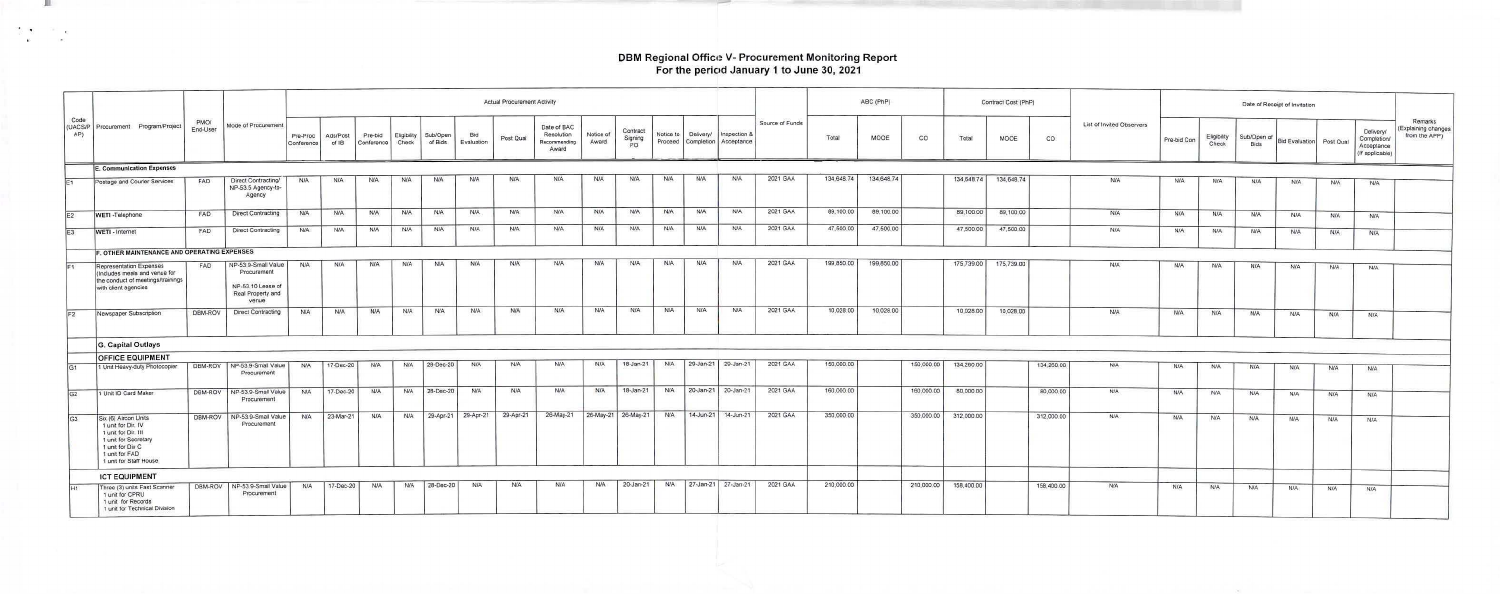### DBM Regional Officii V- Procurement Monitoring Report For the period January <sup>1</sup> to June 30, 2021

 $\begin{array}{ccc} \mathbb{Z} & \mathbb{Q} & \mathbb{Z} & \mathbb{Z} \\ \mathbb{Z} & \mathbb{Z} & \mathbb{Z} \end{array}$ 

 $\overline{\phantom{a}}$ 

|                |                                                                                                                                                           | PMO/<br>End-User |                                                                                       |                        |                   |                       |                      |                     |                     | <b>Actual Procurement Activity</b> |                                                    |                    |                           |            |            |                                               |                 |            | ABC (PhP)  |            |            | Contract Cost (PhP)   |            |                           |             |                      |                     |                          |            |                                                           |                                                 |
|----------------|-----------------------------------------------------------------------------------------------------------------------------------------------------------|------------------|---------------------------------------------------------------------------------------|------------------------|-------------------|-----------------------|----------------------|---------------------|---------------------|------------------------------------|----------------------------------------------------|--------------------|---------------------------|------------|------------|-----------------------------------------------|-----------------|------------|------------|------------|------------|-----------------------|------------|---------------------------|-------------|----------------------|---------------------|--------------------------|------------|-----------------------------------------------------------|-------------------------------------------------|
| Code<br>AP)    | (UACS/P Procurement Program/Project                                                                                                                       |                  | Mode of Procurement                                                                   | Pre-Proc<br>Conference | Ads/Post<br>of IB | Pre-bid<br>Conference | Eligibility<br>Check | Sub/Open<br>of Bids | Bid<br>Evaluation   | Post Qual                          | Date of BAC<br>Resolution<br>Recommending<br>Award | Notice of<br>Award | Contract<br>Signing<br>PO | Notice to  | Delivery/  | Inspection 8<br>Proceed Completion Acceptance | Source of Funds | Total      | MOOE       | CO         | Total      | MOOE                  | CO.        | List of Invited Observers | Pre-bid Con | Eligibility<br>Check | Sub/Open of<br>Bids | Bid Evaluation Post Qual |            | Delivery/<br>Completion/<br>Acceptance<br>(If applicable) | Remarks<br>(Explaining changes<br>from the APP) |
|                | <b>E. Communication Expenses</b>                                                                                                                          |                  |                                                                                       |                        |                   |                       |                      |                     |                     |                                    |                                                    |                    |                           |            |            |                                               |                 |            |            |            |            |                       |            |                           |             |                      |                     |                          |            |                                                           |                                                 |
|                | Postage and Courier Services                                                                                                                              | FAD              | Direct Contracting/<br>NP-53.5 Agency-to-<br>Agency                                   | <b>N/A</b>             | <b>N/A</b>        | <b>N/A</b>            | <b>N/A</b>           | <b>N/A</b>          | <b>N/A</b>          | <b>N/A</b>                         | <b>N/A</b>                                         | <b>N/A</b>         | N/A                       | <b>N/A</b> | <b>N/A</b> | <b>N/A</b>                                    | 2021 GAA        | 134,648.74 | 134,648.74 |            |            | 134,648.74 134,648.74 |            | <b>N/A</b>                | <b>N/A</b>  | N/A                  | N/A                 | <b>N/A</b>               | <b>N/A</b> | <b>N/A</b>                                                |                                                 |
|                | WETI -Telephone                                                                                                                                           | FAD              | <b>Direct Contracting</b>                                                             | <b>N/A</b>             | <b>N/A</b>        | <b>N/A</b>            | N/A                  | <b>N/A</b>          | N/A                 | <b>N/A</b>                         | <b>N/A</b>                                         | <b>N/A</b>         | <b>N/A</b>                | N/A        | N/A        | <b>N/A</b>                                    | 2021 GAA        | 89,100.00  | 89,100.00  |            | 89,100.00  | 89,100.00             |            | NIA                       | <b>N/A</b>  | <b>N/A</b>           | <b>N/A</b>          | N/A                      | <b>NIA</b> | <b>N/A</b>                                                |                                                 |
|                | WETI - Internet                                                                                                                                           | FAD              | Direct Contracting                                                                    | <b>N/A</b>             | <b>N/A</b>        | N/A                   | <b>N/A</b>           | <b>N/A</b>          | <b>N/A</b>          | <b>N/A</b>                         | <b>N/A</b>                                         | <b>N/A</b>         | N/A                       | <b>N/A</b> | <b>N/A</b> | N/A                                           | 2021 GAA        | 47,500.00  | 47,500.00  |            | 47,500.00  | 47,500.00             |            | <b>N/A</b>                | N/A:        | <b>N/A</b>           | <b>N/A</b>          | <b>N/A</b>               |            |                                                           |                                                 |
|                |                                                                                                                                                           |                  |                                                                                       |                        |                   |                       |                      |                     |                     |                                    |                                                    |                    |                           |            |            |                                               |                 |            |            |            |            |                       |            |                           |             |                      |                     |                          | N/A        | <b>N/A</b>                                                |                                                 |
|                | F. OTHER MAINTENANCE AND OPERATING EXPENSES                                                                                                               |                  |                                                                                       |                        |                   |                       |                      |                     |                     |                                    |                                                    |                    |                           |            |            |                                               |                 |            |            |            |            |                       |            |                           |             |                      |                     |                          |            |                                                           |                                                 |
|                | <b>Representation Expenses</b><br>(Includes meals and venue for<br>the conduct of meetings/trainings<br>with client agencies                              | <b>FAD</b>       | NP-53.9-Small Value<br>Procurement<br>NP-53.10 Lease of<br>Real Property and<br>venue | <b>N/A</b>             | <b>N/A</b>        | <b>N/A</b>            | N/A                  | <b>N/A</b>          | <b>N/A</b>          | <b>N/A</b>                         | N/A                                                | <b>N/A</b>         | N/A                       | <b>N/A</b> | <b>N/A</b> | <b>N/A</b>                                    | 2021 GAA        | 199,850.00 | 199,850.00 |            | 175,739.00 | 175,739.00            |            | N/A                       | <b>N/A</b>  | N/A                  | <b>N/A</b>          | <b>N/A</b>               | N/A        | <b>N/A</b>                                                |                                                 |
|                | Newspaper Subscription                                                                                                                                    | DBM-ROV          | <b>Direct Contracting</b>                                                             | <b>N/A</b>             | <b>N/A</b>        | <b>N/A</b>            | N/A                  | <b>N/A</b>          | <b>N/A</b>          | N/A                                | <b>N/A</b>                                         | <b>N/A</b>         | N/A                       | <b>N/A</b> | <b>N/A</b> | <b>N/A</b>                                    | 2021 GAA        | 10,028.00  | 10,028.00  |            | 10,028.00  | 10,028.00             |            | <b>N/A</b>                | N/A         | <b>N/A</b>           | <b>N/A</b>          | <b>N/A</b>               | N/A        | <b>NIA</b>                                                |                                                 |
|                | G. Capital Outlays                                                                                                                                        |                  |                                                                                       |                        |                   |                       |                      |                     |                     |                                    |                                                    |                    |                           |            |            |                                               |                 |            |            |            |            |                       |            |                           |             |                      |                     |                          |            |                                                           |                                                 |
|                | <b>OFFICE EQUIPMENT</b>                                                                                                                                   |                  |                                                                                       |                        |                   |                       |                      |                     |                     |                                    |                                                    |                    |                           |            |            |                                               |                 |            |            |            |            |                       |            |                           |             |                      |                     |                          |            |                                                           |                                                 |
|                | 1 Unit Heavy-duty Photocopier                                                                                                                             |                  | DBM-ROV NP-53.9-Small Value<br>Procurement                                            | <b>N/A</b>             | 17-Dec-20         | <b>N/A</b>            | <b>N/A</b>           | 28-Dec-20           | N/A                 | <b>N/A</b>                         | <b>N/A</b>                                         | <b>N/A</b>         | 18-Jan-21                 | <b>N/A</b> |            | 29-Jan-21 29-Jan-21                           | 2021 GAA        | 150,000.00 |            | 150,000.00 | 134,260.00 |                       | 134,260.00 | <b>N/A</b>                | <b>N/A</b>  | NIA                  | <b>N/A</b>          | <b>N/A</b>               | <b>N/A</b> | <b>NIA</b>                                                |                                                 |
| G <sub>2</sub> | 1 Unit ID Card Maker                                                                                                                                      |                  | DBM-ROV   NP-53.9-Small Value<br>Procurement                                          | <b>N/A</b>             | 17-Dec-20         | <b>N/A</b>            | <b>N/A</b>           | 28-Dec-20           | N/A                 | <b>N/A</b>                         | N/A                                                | <b>N/A</b>         | 18-Jan-21                 | <b>N/A</b> |            | 20-Jan-21 20-Jan-21                           | 2021 GAA        | 160,000.00 |            | 160,000.00 | 80,000.00  |                       | 80,000.00  | <b>N/A</b>                | <b>N/A</b>  | N/A                  | <b>N/A</b>          | N/A                      | <b>N/A</b> | N/A.                                                      |                                                 |
| G <sub>3</sub> | Six (6) Aircon Units<br>1 unit for Dir. IV<br>1 unit for Dir. III<br>1 unit for Secretary<br>1 unit for Div C<br>1 unit for FAD<br>1 unit for Staff House |                  | DBM-ROV   NP-53.9-Small Value  <br>Procurement                                        | <b>N/A</b>             | 23-Mar-21         | <b>N/A</b>            | N/A                  |                     | 29-Apr-21 29-Apr-21 | 29-Apr-21                          | 26-May-21                                          |                    | 26-May-21 26-May-21       | <b>N/A</b> |            | 14-Jun-21 14-Jun-21                           | 2021 GAA        | 350,000.00 |            | 350,000.00 | 312,000.00 |                       | 312,000.00 | <b>N/A</b>                | <b>N/A</b>  | N/A                  | <b>N/A</b>          | <b>N/A</b>               | <b>N/A</b> | <b>N/A</b>                                                |                                                 |
|                | <b>ICT EQUIPMENT</b>                                                                                                                                      |                  |                                                                                       |                        |                   |                       |                      |                     |                     |                                    |                                                    |                    |                           |            |            |                                               |                 |            |            |            |            |                       |            |                           |             |                      |                     |                          |            |                                                           |                                                 |
|                | Three (3) units Fast Scanner<br>1 unit for CPRU<br>1 unit for Records<br>1 unit for Technical Division                                                    |                  | DBM-ROV   NP-53.9-Small Value<br>Procurement                                          | N/A                    | 17-Dec-20         | N/A                   | <b>N/A</b>           | 28-Dec-20           | <b>N/A</b>          | N/A                                | <b>N/A</b>                                         | <b>N/A</b>         | 20-Jan-21                 | <b>N/A</b> |            | 27-Jan-21 27-Jan-21                           | 2021 GAA        | 210,000.00 |            | 210,000.00 | 158,400.00 |                       | 158,400.00 | <b>N/A</b>                | <b>N/A</b>  | N/A                  | <b>N/A</b>          | N/A                      | <b>N/A</b> | <b>N/A</b>                                                |                                                 |